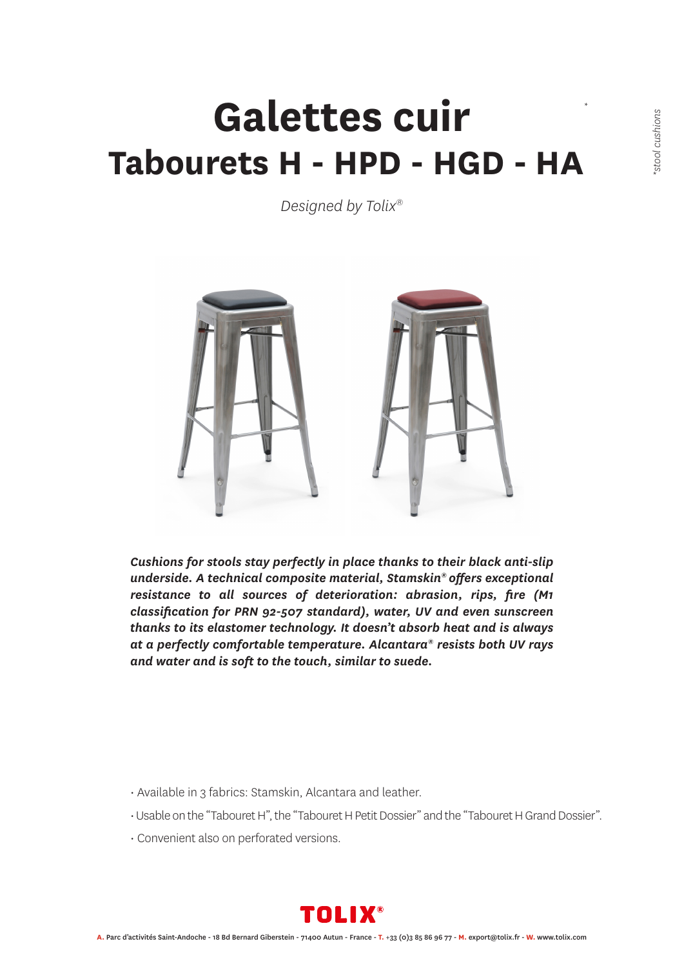### **Galettes cuir Tabourets H - HPD - HGD - HA** *\**

*Designed by Tolix®*



*Cushions for stools stay perfectly in place thanks to their black anti-slip underside. A technical composite material, Stamskin® offers exceptional resistance to all sources of deterioration: abrasion, rips, fire (M1 classification for PRN 92-507 standard), water, UV and even sunscreen thanks to its elastomer technology. It doesn't absorb heat and is always at a perfectly comfortable temperature. Alcantara® resists both UV rays and water and is soft to the touch, similar to suede.*

- Available in 3 fabrics: Stamskin, Alcantara and leather.
- Usable on the "Tabouret H", the "Tabouret H Petit Dossier" and the "Tabouret H Grand Dossier".
- Convenient also on perforated versions.